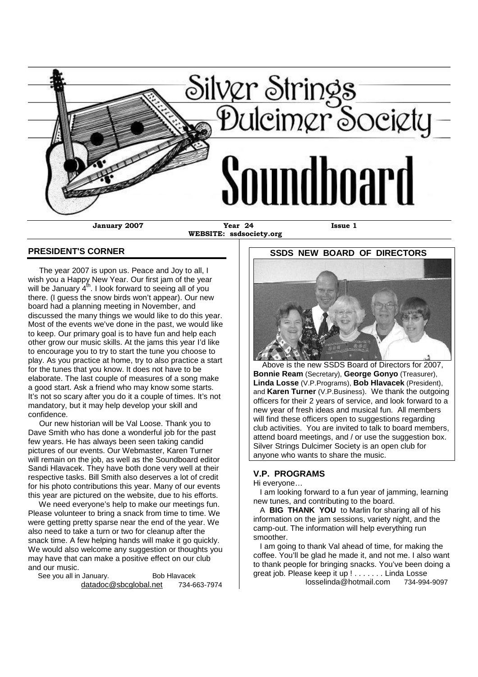

**WEBSITE: ssdsociety.org**

### **PRESIDENT'S CORNER**

The year 2007 is upon us. Peace and Joy to all, I wish you a Happy New Year. Our first jam of the year will be January  $4<sup>th</sup>$ . I look forward to seeing all of you there. (I guess the snow birds won't appear). Our new board had a planning meeting in November, and discussed the many things we would like to do this year. Most of the events we've done in the past, we would like to keep. Our primary goal is to have fun and help each other grow our music skills. At the jams this year I'd like to encourage you to try to start the tune you choose to play. As you practice at home, try to also practice a start for the tunes that you know. It does not have to be elaborate. The last couple of measures of a song make a good start. Ask a friend who may know some starts. It's not so scary after you do it a couple of times. It's not mandatory, but it may help develop your skill and confidence.

Our new historian will be Val Loose. Thank you to Dave Smith who has done a wonderful job for the past few years. He has always been seen taking candid pictures of our events. Our Webmaster, Karen Turner will remain on the job, as well as the Soundboard editor Sandi Hlavacek. They have both done very well at their respective tasks. Bill Smith also deserves a lot of credit for his photo contributions this year. Many of our events this year are pictured on the website, due to his efforts.

We need everyone's help to make our meetings fun. Please volunteer to bring a snack from time to time. We were getting pretty sparse near the end of the year. We also need to take a turn or two for cleanup after the snack time. A few helping hands will make it go quickly. We would also welcome any suggestion or thoughts you may have that can make a positive effect on our club and our music.

See you all in January. Bob Hlavacek datadoc@sbcglobal.net 734-663-7974 **SSDS NEW BOARD OF DIRECTORS**

Above is the new SSDS Board of Directors for 2007, **Bonnie Ream** (Secretary), **George Gonyo** (Treasurer), **Linda Losse** (V.P.Programs), **Bob Hlavacek** (President), and **Karen Turner** (V.P.Business). We thank the outgoing officers for their 2 years of service, and look forward to a new year of fresh ideas and musical fun. All members will find these officers open to suggestions regarding club activities. You are invited to talk to board members, attend board meetings, and / or use the suggestion box. Silver Strings Dulcimer Society is an open club for anyone who wants to share the music.

## **V.P. PROGRAMS**

Hi everyone…

I am looking forward to a fun year of jamming, learning new tunes, and contributing to the board.

A **BIG THANK YOU** to Marlin for sharing all of his information on the jam sessions, variety night, and the camp-out. The information will help everything run smoother.

I am going to thank Val ahead of time, for making the coffee. You'll be glad he made it, and not me. I also want to thank people for bringing snacks. You've been doing a great job. Please keep it up ! . . . . . . . Linda Losse

losselinda@hotmail.com 734-994-9097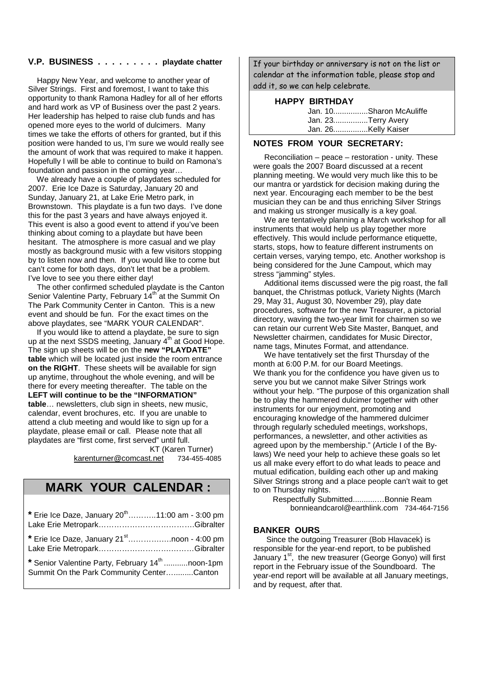## **V.P. BUSINESS . . . . . . . . . playdate chatter**

Happy New Year, and welcome to another year of Silver Strings. First and foremost, I want to take this opportunity to thank Ramona Hadley for all of her efforts and hard work as VP of Business over the past 2 years. Her leadership has helped to raise club funds and has opened more eyes to the world of dulcimers. Many times we take the efforts of others for granted, but if this position were handed to us, I'm sure we would really see the amount of work that was required to make it happen. Hopefully I will be able to continue to build on Ramona's foundation and passion in the coming year…

We already have a couple of playdates scheduled for 2007. Erie Ice Daze is Saturday, January 20 and Sunday, January 21, at Lake Erie Metro park, in Brownstown. This playdate is a fun two days. I've done this for the past 3 years and have always enjoyed it. This event is also a good event to attend if you've been thinking about coming to a playdate but have been hesitant. The atmosphere is more casual and we play mostly as background music with a few visitors stopping by to listen now and then. If you would like to come but can't come for both days, don't let that be a problem. I've love to see you there either day!

The other confirmed scheduled playdate is the Canton Senior Valentine Party, February 14<sup>th</sup> at the Summit On The Park Community Center in Canton. This is a new event and should be fun. For the exact times on the above playdates, see "MARK YOUR CALENDAR".

If you would like to attend a playdate, be sure to sign up at the next SSDS meeting, January 4<sup>th</sup> at Good Hope. The sign up sheets will be on the **new "PLAYDATE" table** which will be located just inside the room entrance **on the RIGHT**. These sheets will be available for sign up anytime, throughout the whole evening, and will be there for every meeting thereafter. The table on the **LEFT will continue to be the "INFORMATION" table**… newsletters, club sign in sheets, new music, calendar, event brochures, etc. If you are unable to attend a club meeting and would like to sign up for a playdate, please email or call. Please note that all playdates are "first come, first served" until full. KT (Karen Turner)

karenturner@comcast.net 734-455-4085

# **MARK YOUR CALENDAR :**

| * Erie Ice Daze, January 20 <sup>th</sup> 11:00 am - 3:00 pm                                              |  |
|-----------------------------------------------------------------------------------------------------------|--|
| * Erie Ice Daze, January 21 <sup>st</sup> noon - 4:00 pm                                                  |  |
| * Senior Valentine Party, February 14 <sup>th</sup> noon-1pm<br>Summit On the Park Community CenterCanton |  |

If your birthday or anniversary is not on the list or calendar at the information table, please stop and add it, so we can help celebrate.

#### **HAPPY BIRTHDAY**

| Jan. 10Sharon McAuliffe |
|-------------------------|
| Jan. 23Terry Avery      |
| Jan. 26Kelly Kaiser     |

#### **NOTES FROM YOUR SECRETARY:**

Reconciliation – peace – restoration - unity. These were goals the 2007 Board discussed at a recent planning meeting. We would very much like this to be our mantra or yardstick for decision making during the next year. Encouraging each member to be the best musician they can be and thus enriching Silver Strings and making us stronger musically is a key goal.

We are tentatively planning a March workshop for all instruments that would help us play together more effectively. This would include performance etiquette, starts, stops, how to feature different instruments on certain verses, varying tempo, etc. Another workshop is being considered for the June Campout, which may stress "jamming" styles.

Additional items discussed were the pig roast, the fall banquet, the Christmas potluck, Variety Nights (March 29, May 31, August 30, November 29), play date procedures, software for the new Treasurer, a pictorial directory, waving the two-year limit for chairmen so we can retain our current Web Site Master, Banquet, and Newsletter chairmen, candidates for Music Director, name tags, Minutes Format, and attendance.

We have tentatively set the first Thursday of the month at 6:00 P.M. for our Board Meetings. We thank you for the confidence you have given us to serve you but we cannot make Silver Strings work without your help. "The purpose of this organization shall be to play the hammered dulcimer together with other instruments for our enjoyment, promoting and encouraging knowledge of the hammered dulcimer through regularly scheduled meetings, workshops, performances, a newsletter, and other activities as agreed upon by the membership." (Article I of the Bylaws) We need your help to achieve these goals so let us all make every effort to do what leads to peace and mutual edification, building each other up and making Silver Strings strong and a place people can't wait to get to on Thursday nights.

Respectfully Submitted...........…Bonnie Ream bonnieandcarol@earthlink.com 734-464-7156

#### BANKER OURS

Since the outgoing Treasurer (Bob Hlavacek) is responsible for the year-end report, to be published January 1<sup>st</sup>, the new treasurer (George Gonyo) will first report in the February issue of the Soundboard. The year-end report will be available at all January meetings, and by request, after that.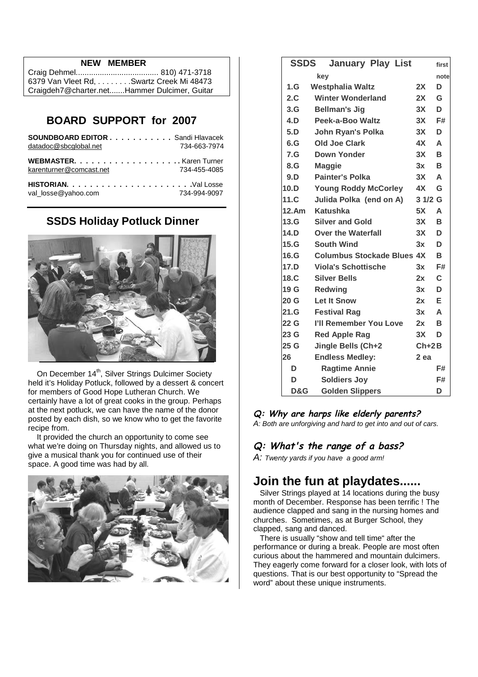## **NEW MEMBER**

| 6379 Van Vleet Rd. Swartz Creek Mi 48473     |
|----------------------------------------------|
| Craigdeh7@charter.netHammer Dulcimer, Guitar |

## **BOARD SUPPORT for 2007**

| <b>SOUNDBOARD EDITOR Sandi Hlavacek</b><br>datadoc@sbcqlobal.net | 734-663-7974 |
|------------------------------------------------------------------|--------------|
| karenturner@comcast.net                                          | 734-455-4085 |
|                                                                  |              |

**HISTORIAN. . . . . . . . . . . . . . . . . . . . . .**Val Losse val\_losse@yahoo.com 734-994-9097

## **SSDS Holiday Potluck Dinner**



On December 14<sup>th</sup>, Silver Strings Dulcimer Society held it's Holiday Potluck, followed by a dessert & concert for members of Good Hope Lutheran Church. We certainly have a lot of great cooks in the group. Perhaps at the next potluck, we can have the name of the donor posted by each dish, so we know who to get the favorite recipe from.

It provided the church an opportunity to come see what we're doing on Thursday nights, and allowed us to give a musical thank you for continued use of their space. A good time was had by all.



| <b>SSDS</b> | <b>January Play List</b>          |         | first |
|-------------|-----------------------------------|---------|-------|
|             | key                               |         | note  |
| 1.G         | <b>Westphalia Waltz</b>           | 2X      | D     |
| 2.C         | <b>Winter Wonderland</b>          | 2X      | G     |
| 3.G         | <b>Bellman's Jig</b>              | 3X      | D     |
| 4.D         | Peek-a-Boo Waltz                  | 3X      | F#    |
| 5.D         | John Ryan's Polka                 | 3X      | D     |
| 6.G         | <b>Old Joe Clark</b>              | 4X      | A     |
| 7.G         | Down Yonder                       | 3X      | B     |
| 8.G         | <b>Maggie</b>                     | 3x      | B     |
| 9.D         | <b>Painter's Polka</b>            | 3X      | A     |
| 10.D        | <b>Young Roddy McCorley</b>       | 4X      | G     |
| 11.C.       | Julida Polka (end on A)           | 3 1/2 G |       |
| 12.Am       | Katushka                          | 5X      | A     |
| 13.G        | <b>Silver and Gold</b>            | 3X      | в     |
| 14.D        | <b>Over the Waterfall</b>         | 3X      | D     |
| 15.G        | <b>South Wind</b>                 | 3x      | D     |
| 16.G        | <b>Columbus Stockade Blues 4X</b> |         | B     |
| 17.D        | <b>Viola's Schottische</b>        | 3x      | F#    |
| 18.C.       | <b>Silver Bells</b>               | 2x      | C     |
| 19 G        | Redwing                           | 3x      | D     |
| 20G         | <b>Let It Snow</b>                | 2x      | Е     |
| 21.G        | <b>Festival Rag</b>               | 3x      | A     |
| 22 G        | I'll Remember You Love            | 2x      | в     |
| 23 G        | <b>Red Apple Rag</b>              | 3X      | D     |
| 25 G        | Jingle Bells (Ch+2                | $Ch+2B$ |       |
| 26          | <b>Endless Medley:</b>            | $2$ ea  |       |
| D           | <b>Ragtime Annie</b>              |         | F#    |
| D           | <b>Soldiers Joy</b>               |         | F#    |
| D&G         | <b>Golden Slippers</b>            |         | D     |

**Q: Why are harps like elderly parents?** *A: Both are unforgiving and hard to get into and out of cars.*

## **Q: What's the range of <sup>a</sup> bass?**

*A: Twenty yards if you have a good arm!*

# **Join the fun at playdates......**

Silver Strings played at 14 locations during the busy month of December. Response has been terrific ! The audience clapped and sang in the nursing homes and churches. Sometimes, as at Burger School, they clapped, sang and danced.

There is usually "show and tell time" after the performance or during a break. People are most often curious about the hammered and mountain dulcimers. They eagerly come forward for a closer look, with lots of questions. That is our best opportunity to "Spread the word" about these unique instruments.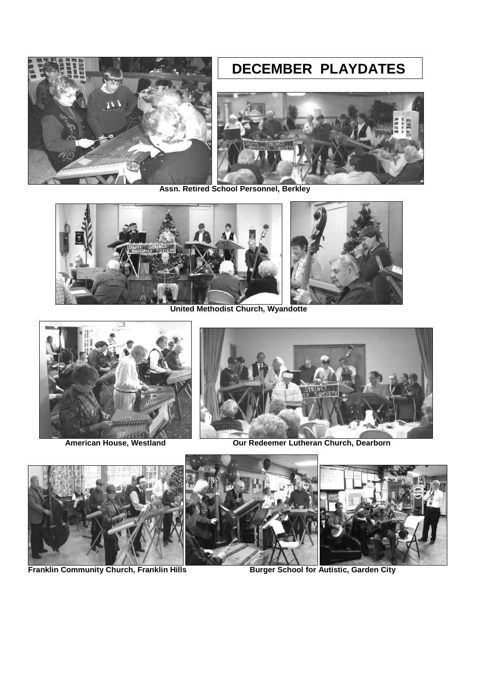# **DECEMBER PLAYDATES**





**Assn. Retired School Personnel, Berkley**



**United Methodist Church, Wyandotte**





**American House, Westland Our Redeemer Lutheran Church, Dearborn**



**Franklin Community Church, Franklin Hills Burger School for Autistic, Garden City**